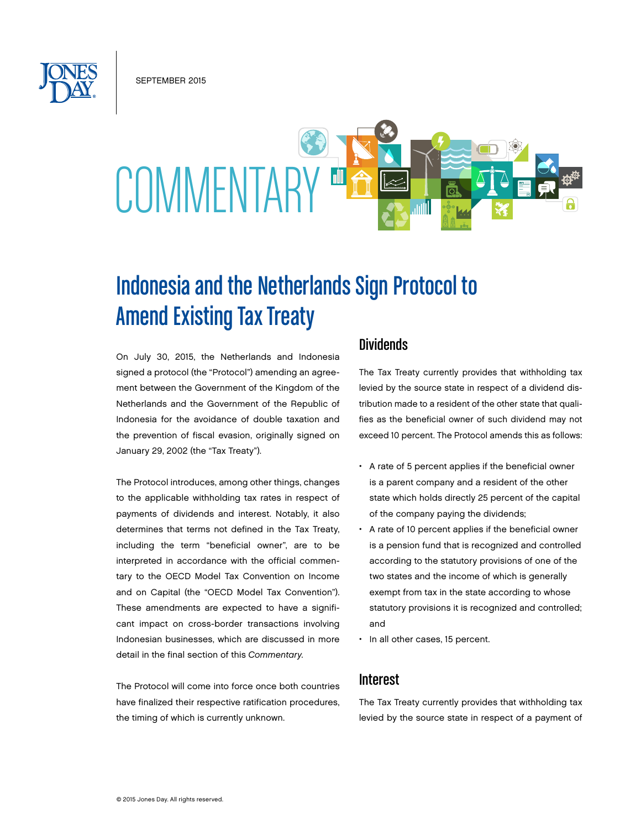SEPTEMBER 2015

# COMMENTAR

## Indonesia and the Netherlands Sign Protocol to Amend Existing Tax Treaty

On July 30, 2015, the Netherlands and Indonesia signed a protocol (the "Protocol") amending an agreement between the Government of the Kingdom of the Netherlands and the Government of the Republic of Indonesia for the avoidance of double taxation and the prevention of fiscal evasion, originally signed on January 29, 2002 (the "Tax Treaty").

The Protocol introduces, among other things, changes to the applicable withholding tax rates in respect of payments of dividends and interest. Notably, it also determines that terms not defined in the Tax Treaty, including the term "beneficial owner", are to be interpreted in accordance with the official commentary to the OECD Model Tax Convention on Income and on Capital (the "OECD Model Tax Convention"). These amendments are expected to have a significant impact on cross-border transactions involving Indonesian businesses, which are discussed in more detail in the final section of this *Commentary*.

The Protocol will come into force once both countries have finalized their respective ratification procedures, the timing of which is currently unknown.

#### Dividends

The Tax Treaty currently provides that withholding tax levied by the source state in respect of a dividend distribution made to a resident of the other state that qualifies as the beneficial owner of such dividend may not exceed 10 percent. The Protocol amends this as follows:

- A rate of 5 percent applies if the beneficial owner is a parent company and a resident of the other state which holds directly 25 percent of the capital of the company paying the dividends;
- A rate of 10 percent applies if the beneficial owner is a pension fund that is recognized and controlled according to the statutory provisions of one of the two states and the income of which is generally exempt from tax in the state according to whose statutory provisions it is recognized and controlled; and
- In all other cases, 15 percent.

#### **Interest**

The Tax Treaty currently provides that withholding tax levied by the source state in respect of a payment of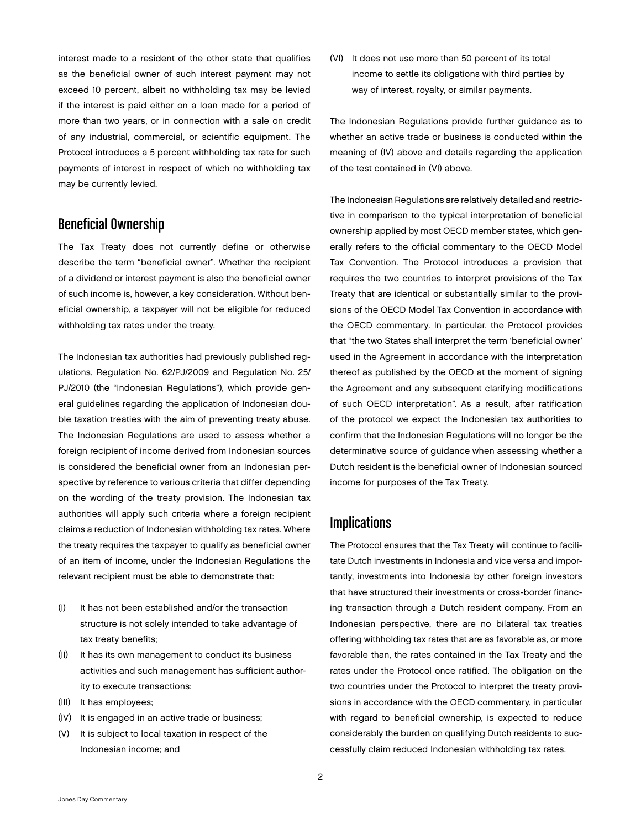interest made to a resident of the other state that qualifies as the beneficial owner of such interest payment may not exceed 10 percent, albeit no withholding tax may be levied if the interest is paid either on a loan made for a period of more than two years, or in connection with a sale on credit of any industrial, commercial, or scientific equipment. The Protocol introduces a 5 percent withholding tax rate for such payments of interest in respect of which no withholding tax may be currently levied.

### Beneficial Ownership

The Tax Treaty does not currently define or otherwise describe the term "beneficial owner". Whether the recipient of a dividend or interest payment is also the beneficial owner of such income is, however, a key consideration. Without beneficial ownership, a taxpayer will not be eligible for reduced withholding tax rates under the treaty.

The Indonesian tax authorities had previously published regulations, Regulation No. 62/PJ/2009 and Regulation No. 25/ PJ/2010 (the "Indonesian Regulations"), which provide general guidelines regarding the application of Indonesian double taxation treaties with the aim of preventing treaty abuse. The Indonesian Regulations are used to assess whether a foreign recipient of income derived from Indonesian sources is considered the beneficial owner from an Indonesian perspective by reference to various criteria that differ depending on the wording of the treaty provision. The Indonesian tax authorities will apply such criteria where a foreign recipient claims a reduction of Indonesian withholding tax rates. Where the treaty requires the taxpayer to qualify as beneficial owner of an item of income, under the Indonesian Regulations the relevant recipient must be able to demonstrate that:

- (I) It has not been established and/or the transaction structure is not solely intended to take advantage of tax treaty benefits;
- (II) It has its own management to conduct its business activities and such management has sufficient authority to execute transactions;
- (III) It has employees;
- (IV) It is engaged in an active trade or business;
- (V) It is subject to local taxation in respect of the Indonesian income; and

(VI) It does not use more than 50 percent of its total income to settle its obligations with third parties by way of interest, royalty, or similar payments.

The Indonesian Regulations provide further guidance as to whether an active trade or business is conducted within the meaning of (IV) above and details regarding the application of the test contained in (VI) above.

The Indonesian Regulations are relatively detailed and restrictive in comparison to the typical interpretation of beneficial ownership applied by most OECD member states, which generally refers to the official commentary to the OECD Model Tax Convention. The Protocol introduces a provision that requires the two countries to interpret provisions of the Tax Treaty that are identical or substantially similar to the provisions of the OECD Model Tax Convention in accordance with the OECD commentary. In particular, the Protocol provides that "the two States shall interpret the term 'beneficial owner' used in the Agreement in accordance with the interpretation thereof as published by the OECD at the moment of signing the Agreement and any subsequent clarifying modifications of such OECD interpretation". As a result, after ratification of the protocol we expect the Indonesian tax authorities to confirm that the Indonesian Regulations will no longer be the determinative source of guidance when assessing whether a Dutch resident is the beneficial owner of Indonesian sourced income for purposes of the Tax Treaty.

#### **Implications**

The Protocol ensures that the Tax Treaty will continue to facilitate Dutch investments in Indonesia and vice versa and importantly, investments into Indonesia by other foreign investors that have structured their investments or cross-border financing transaction through a Dutch resident company. From an Indonesian perspective, there are no bilateral tax treaties offering withholding tax rates that are as favorable as, or more favorable than, the rates contained in the Tax Treaty and the rates under the Protocol once ratified. The obligation on the two countries under the Protocol to interpret the treaty provisions in accordance with the OECD commentary, in particular with regard to beneficial ownership, is expected to reduce considerably the burden on qualifying Dutch residents to successfully claim reduced Indonesian withholding tax rates.